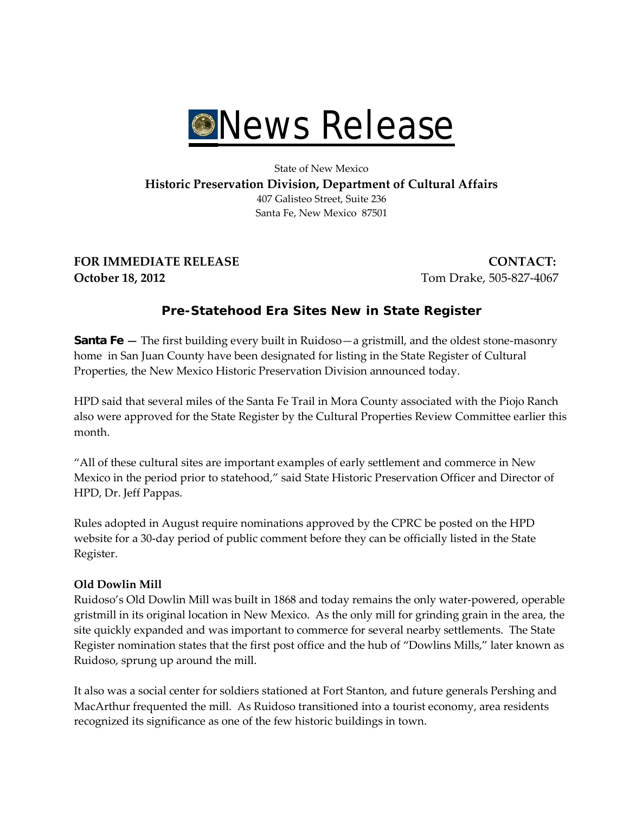

### State of New Mexico **Historic Preservation Division, Department of Cultural Affairs** 407 Galisteo Street, Suite 236 Santa Fe, New Mexico 87501

**FOR IMMEDIATE RELEASE CONTACT: October 18, 2012** Tom Drake, 505-827-4067

# **Pre-Statehood Era Sites New in State Register**

**Santa Fe** — The first building every built in Ruidoso—a gristmill, and the oldest stone-masonry home in San Juan County have been designated for listing in the State Register of Cultural Properties, the New Mexico Historic Preservation Division announced today.

HPD said that several miles of the Santa Fe Trail in Mora County associated with the Piojo Ranch also were approved for the State Register by the Cultural Properties Review Committee earlier this month.

"All of these cultural sites are important examples of early settlement and commerce in New Mexico in the period prior to statehood," said State Historic Preservation Officer and Director of HPD, Dr. Jeff Pappas.

Rules adopted in August require nominations approved by the CPRC be posted on the HPD website for a 30-day period of public comment before they can be officially listed in the State Register.

# **Old Dowlin Mill**

Ruidoso's Old Dowlin Mill was built in 1868 and today remains the only water-powered, operable gristmill in its original location in New Mexico. As the only mill for grinding grain in the area, the site quickly expanded and was important to commerce for several nearby settlements. The State Register nomination states that the first post office and the hub of "Dowlins Mills," later known as Ruidoso, sprung up around the mill.

It also was a social center for soldiers stationed at Fort Stanton, and future generals Pershing and MacArthur frequented the mill. As Ruidoso transitioned into a tourist economy, area residents recognized its significance as one of the few historic buildings in town.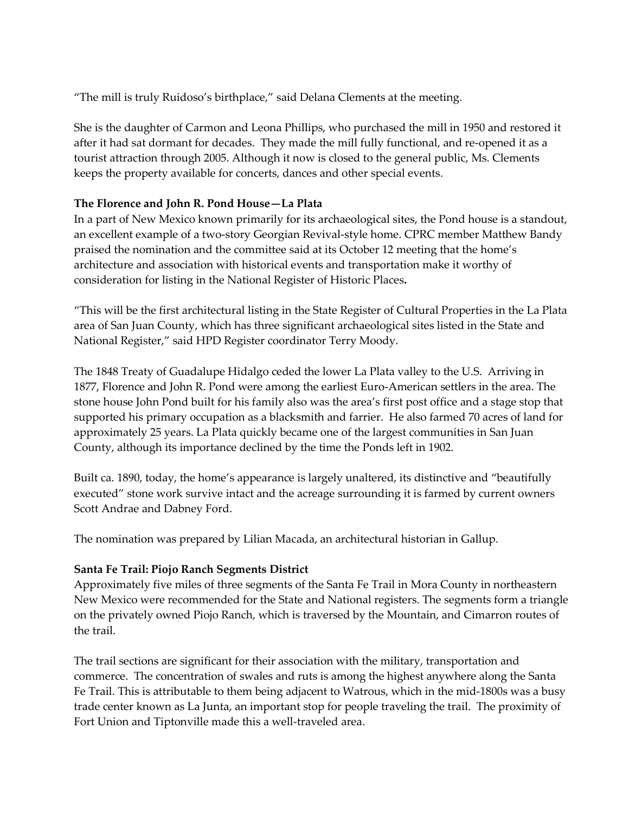"The mill is truly Ruidoso's birthplace," said Delana Clements at the meeting.

She is the daughter of Carmon and Leona Phillips, who purchased the mill in 1950 and restored it after it had sat dormant for decades. They made the mill fully functional, and re-opened it as a tourist attraction through 2005. Although it now is closed to the general public, Ms. Clements keeps the property available for concerts, dances and other special events.

### **The Florence and John R. Pond House—La Plata**

In a part of New Mexico known primarily for its archaeological sites, the Pond house is a standout, an excellent example of a two-story Georgian Revival-style home. CPRC member Matthew Bandy praised the nomination and the committee said at its October 12 meeting that the home's architecture and association with historical events and transportation make it worthy of consideration for listing in the National Register of Historic Places**.**

"This will be the first architectural listing in the State Register of Cultural Properties in the La Plata area of San Juan County, which has three significant archaeological sites listed in the State and National Register," said HPD Register coordinator Terry Moody.

The 1848 Treaty of Guadalupe Hidalgo ceded the lower La Plata valley to the U.S. Arriving in 1877, Florence and John R. Pond were among the earliest Euro-American settlers in the area. The stone house John Pond built for his family also was the area's first post office and a stage stop that supported his primary occupation as a blacksmith and farrier. He also farmed 70 acres of land for approximately 25 years. La Plata quickly became one of the largest communities in San Juan County, although its importance declined by the time the Ponds left in 1902.

Built ca. 1890, today, the home's appearance is largely unaltered, its distinctive and "beautifully executed" stone work survive intact and the acreage surrounding it is farmed by current owners Scott Andrae and Dabney Ford.

The nomination was prepared by Lilian Macada, an architectural historian in Gallup.

# **Santa Fe Trail: Piojo Ranch Segments District**

Approximately five miles of three segments of the Santa Fe Trail in Mora County in northeastern New Mexico were recommended for the State and National registers. The segments form a triangle on the privately owned Piojo Ranch, which is traversed by the Mountain, and Cimarron routes of the trail.

The trail sections are significant for their association with the military, transportation and commerce. The concentration of swales and ruts is among the highest anywhere along the Santa Fe Trail. This is attributable to them being adjacent to Watrous, which in the mid-1800s was a busy trade center known as La Junta, an important stop for people traveling the trail. The proximity of Fort Union and Tiptonville made this a well-traveled area.